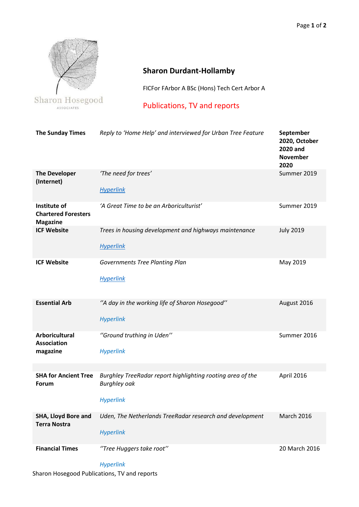

## **Sharon Durdant-Hollamby**

FICFor FArbor A BSc (Hons) Tech Cert Arbor A

Publications, TV and reports

| <b>The Sunday Times</b>                                       | Reply to 'Home Help' and interviewed for Urban Tree Feature                                           | September<br>2020, October<br><b>2020 and</b><br><b>November</b><br>2020 |
|---------------------------------------------------------------|-------------------------------------------------------------------------------------------------------|--------------------------------------------------------------------------|
| <b>The Developer</b><br>(Internet)                            | 'The need for trees'<br><b>Hyperlink</b>                                                              | Summer 2019                                                              |
| Institute of<br><b>Chartered Foresters</b><br><b>Magazine</b> | 'A Great Time to be an Arboriculturist'                                                               | Summer 2019                                                              |
| <b>ICF Website</b>                                            | Trees in housing development and highways maintenance<br><b>Hyperlink</b>                             | <b>July 2019</b>                                                         |
| <b>ICF Website</b>                                            | <b>Governments Tree Planting Plan</b><br><b>Hyperlink</b>                                             | May 2019                                                                 |
| <b>Essential Arb</b>                                          | "A day in the working life of Sharon Hosegood"<br><b>Hyperlink</b>                                    | August 2016                                                              |
| <b>Arboricultural</b><br><b>Association</b><br>magazine       | "Ground truthing in Uden"<br><b>Hyperlink</b>                                                         | Summer 2016                                                              |
|                                                               |                                                                                                       |                                                                          |
| <b>SHA for Ancient Tree</b><br><b>Forum</b>                   | Burghley TreeRadar report highlighting rooting area of the<br><b>Burghley oak</b><br><b>Hyperlink</b> | April 2016                                                               |
| SHA, Lloyd Bore and<br><b>Terra Nostra</b>                    | Uden, The Netherlands TreeRadar research and development<br><b>Hyperlink</b>                          | <b>March 2016</b>                                                        |
| <b>Financial Times</b>                                        | "Tree Huggers take root"                                                                              | 20 March 2016                                                            |

*Hyperlink*

Sharon Hosegood Publications, TV and reports